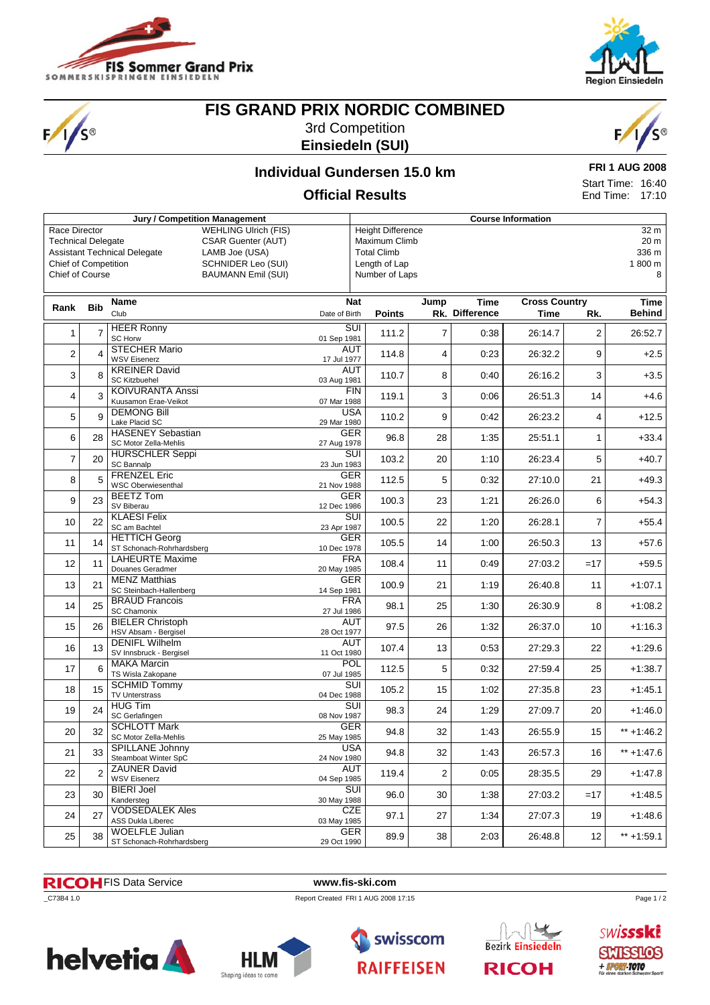

S®



# **FIS GRAND PRIX NORDIC COMBINED**

3rd Competition **Einsiedeln (SUI)**



### **Individual Gundersen 15.0 km**

**FRI 1 AUG 2008** Start Time: 16:40 End Time: 17:10

### **Official Results**

| Jury / Competition Management |                                                                                                                                                                                                                                                                                                                                                                                   |                                                    |                                                  |               | <b>Course Information</b> |                |                                      |                |               |  |  |
|-------------------------------|-----------------------------------------------------------------------------------------------------------------------------------------------------------------------------------------------------------------------------------------------------------------------------------------------------------------------------------------------------------------------------------|----------------------------------------------------|--------------------------------------------------|---------------|---------------------------|----------------|--------------------------------------|----------------|---------------|--|--|
|                               | Race Director<br><b>WEHLING Ulrich (FIS)</b><br><b>Height Difference</b><br><b>CSAR Guenter (AUT)</b><br>Maximum Climb<br><b>Technical Delegate</b><br><b>Total Climb</b><br><b>Assistant Technical Delegate</b><br>LAMB Joe (USA)<br><b>Chief of Competition</b><br>Length of Lap<br><b>SCHNIDER Leo (SUI)</b><br>Chief of Course<br><b>BAUMANN Emil (SUI)</b><br>Number of Laps |                                                    |                                                  |               |                           |                | 32 m<br>20 m<br>336 m<br>1800 m<br>8 |                |               |  |  |
|                               |                                                                                                                                                                                                                                                                                                                                                                                   | <b>Name</b>                                        |                                                  | <b>Nat</b>    | Jump                      | Time           | <b>Cross Country</b>                 |                | Time          |  |  |
| Rank                          | <b>Bib</b>                                                                                                                                                                                                                                                                                                                                                                        | Club                                               | Date of Birth                                    | <b>Points</b> |                           | Rk. Difference | Time                                 | Rk.            | Behind        |  |  |
| 1                             | $\overline{7}$                                                                                                                                                                                                                                                                                                                                                                    | <b>HEER Ronny</b><br><b>SC Horw</b>                | $\overline{\text{SUI}}$<br>01 Sep 1981           | 111.2         | $\overline{7}$            | 0:38           | 26:14.7                              | $\overline{2}$ | 26:52.7       |  |  |
| $\overline{2}$                |                                                                                                                                                                                                                                                                                                                                                                                   | <b>STECHER Mario</b><br><b>WSV Eisenerz</b>        | <b>AUT</b><br>17 Jul 1977                        | 114.8         | 4                         | 0:23           | 26:32.2                              | 9              | $+2.5$        |  |  |
| 3                             | 8                                                                                                                                                                                                                                                                                                                                                                                 | <b>KREINER David</b><br><b>SC Kitzbuehel</b>       | <b>AUT</b><br>03 Aug 1981                        | 110.7         | 8                         | 0:40           | 26:16.2                              | 3              | $+3.5$        |  |  |
| 4                             | 3                                                                                                                                                                                                                                                                                                                                                                                 | <b>KOIVURANTA Anssi</b><br>Kuusamon Erae-Veikot    | <b>FIN</b><br>07 Mar 1988                        | 119.1         | 3                         | 0:06           | 26:51.3                              | 14             | $+4.6$        |  |  |
| 5                             | 9                                                                                                                                                                                                                                                                                                                                                                                 | <b>DEMONG Bill</b><br>Lake Placid SC               | <b>USA</b><br>29 Mar 1980                        | 110.2         | 9                         | 0:42           | 26:23.2                              | 4              | $+12.5$       |  |  |
| 6                             | 28                                                                                                                                                                                                                                                                                                                                                                                | <b>HASENEY Sebastian</b><br>SC Motor Zella-Mehlis  | GER<br>27 Aug 1978                               | 96.8          | 28                        | 1:35           | 25:51.1                              | $\mathbf{1}$   | $+33.4$       |  |  |
| 7                             | 20                                                                                                                                                                                                                                                                                                                                                                                | <b>HURSCHLER Seppi</b><br>SC Bannalp               | $\overline{\mathsf{s}\mathsf{u}}$<br>23 Jun 1983 | 103.2         | 20                        | 1:10           | 26:23.4                              | 5              | +40.7         |  |  |
| 8                             |                                                                                                                                                                                                                                                                                                                                                                                   | <b>FRENZEL Eric</b><br><b>WSC Oberwiesenthal</b>   | GER<br>21 Nov 1988                               | 112.5         | 5                         | 0:32           | 27:10.0                              | 21             | +49.3         |  |  |
| 9                             | 23                                                                                                                                                                                                                                                                                                                                                                                | <b>BEETZ Tom</b><br>SV Biberau                     | <b>GER</b><br>12 Dec 1986                        | 100.3         | 23                        | 1:21           | 26:26.0                              | 6              | $+54.3$       |  |  |
| 10                            | 22                                                                                                                                                                                                                                                                                                                                                                                | <b>KLAESI Felix</b><br>SC am Bachtel               | $\overline{\text{SUI}}$<br>23 Apr 1987           | 100.5         | 22                        | 1:20           | 26:28.1                              | $\overline{7}$ | $+55.4$       |  |  |
| 11                            | 14                                                                                                                                                                                                                                                                                                                                                                                | <b>HETTICH Georg</b><br>ST Schonach-Rohrhardsberg  | GER<br>10 Dec 1978                               | 105.5         | 14                        | 1:00           | 26:50.3                              | 13             | $+57.6$       |  |  |
| 12                            | 11                                                                                                                                                                                                                                                                                                                                                                                | <b>LAHEURTE Maxime</b><br>Douanes Geradmer         | <b>FRA</b><br>20 May 1985                        | 108.4         | 11                        | 0:49           | 27:03.2                              | $=17$          | $+59.5$       |  |  |
| 13                            | 21                                                                                                                                                                                                                                                                                                                                                                                | <b>MENZ Matthias</b><br>SC Steinbach-Hallenberg    | <b>GER</b><br>14 Sep 1981                        | 100.9         | 21                        | 1:19           | 26:40.8                              | 11             | $+1:07.1$     |  |  |
| 14                            | 25                                                                                                                                                                                                                                                                                                                                                                                | <b>BRAUD Francois</b><br>SC Chamonix               | <b>FRA</b><br>27 Jul 1986                        | 98.1          | 25                        | 1:30           | 26:30.9                              | 8              | $+1:08.2$     |  |  |
| 15                            | 26                                                                                                                                                                                                                                                                                                                                                                                | <b>BIELER Christoph</b><br>HSV Absam - Bergisel    | <b>AUT</b><br>28 Oct 1977                        | 97.5          | 26                        | 1:32           | 26:37.0                              | 10             | $+1:16.3$     |  |  |
| 16                            | 13                                                                                                                                                                                                                                                                                                                                                                                | <b>DENIFL Wilhelm</b><br>SV Innsbruck - Bergisel   | <b>AUT</b><br>11 Oct 1980                        | 107.4         | 13                        | 0:53           | 27:29.3                              | 22             | $+1:29.6$     |  |  |
| 17                            | 6                                                                                                                                                                                                                                                                                                                                                                                 | <b>MAKA Marcin</b><br>TS Wisla Zakopane            | POL<br>07 Jul 1985                               | 112.5         | 5                         | 0:32           | 27:59.4                              | 25             | $+1:38.7$     |  |  |
| 18                            | 15                                                                                                                                                                                                                                                                                                                                                                                | <b>SCHMID Tommy</b><br><b>TV Unterstrass</b>       | $\overline{\text{SUI}}$<br>04 Dec 1988           | 105.2         | 15                        | 1:02           | 27:35.8                              | 23             | $+1:45.1$     |  |  |
| 19                            | 24                                                                                                                                                                                                                                                                                                                                                                                | <b>HUG Tim</b><br>SC Gerlafingen                   | $\overline{\text{SUI}}$<br>08 Nov 1987           | 98.3          | 24                        | 1:29           | 27:09.7                              | 20             | $+1:46.0$     |  |  |
| 20                            | 32                                                                                                                                                                                                                                                                                                                                                                                | <b>SCHLOTT Mark</b><br>SC Motor Zella-Mehlis       | <b>GER</b><br>25 May 1985                        | 94.8          | 32                        | 1:43           | 26:55.9                              | 15             | $** + 1:46.2$ |  |  |
| 21                            | 33                                                                                                                                                                                                                                                                                                                                                                                | <b>SPILLANE Johnny</b><br>Steamboat Winter SpC     | <b>USA</b><br>24 Nov 1980                        | 94.8          | 32                        | 1:43           | 26:57.3                              | 16             | $** + 1:47.6$ |  |  |
| 22                            | $\overline{2}$                                                                                                                                                                                                                                                                                                                                                                    | <b>ZAUNER David</b><br><b>WSV Eisenerz</b>         | AUT<br>04 Sep 1985                               | 119.4         | 2                         | 0:05           | 28:35.5                              | 29             | $+1:47.8$     |  |  |
| 23                            | 30                                                                                                                                                                                                                                                                                                                                                                                | <b>BIERI Joel</b><br>Kandersteg                    | SUI<br>30 May 1988                               | 96.0          | 30                        | 1:38           | 27:03.2                              | $=17$          | $+1:48.5$     |  |  |
| 24                            | 27                                                                                                                                                                                                                                                                                                                                                                                | <b>VODSEDALEK Ales</b><br><b>ASS Dukla Liberec</b> | CZE<br>03 May 1985                               | 97.1          | 27                        | 1:34           | 27:07.3                              | 19             | $+1.48.6$     |  |  |
| 25                            | 38                                                                                                                                                                                                                                                                                                                                                                                | <b>WOELFLE Julian</b><br>ST Schonach-Rohrhardsberg | <b>GER</b><br>29 Oct 1990                        | 89.9          | 38                        | 2:03           | 26:48.8                              | 12             | $** + 1:59.1$ |  |  |

#### FIS Data Service **www.fis-ski.com**

\_C73B4 1.0 Report Created FRI 1 AUG 2008 17:15









Page 1/2

**SWISSSKE SMISSLOS**  $+$  SPORT-TOTO